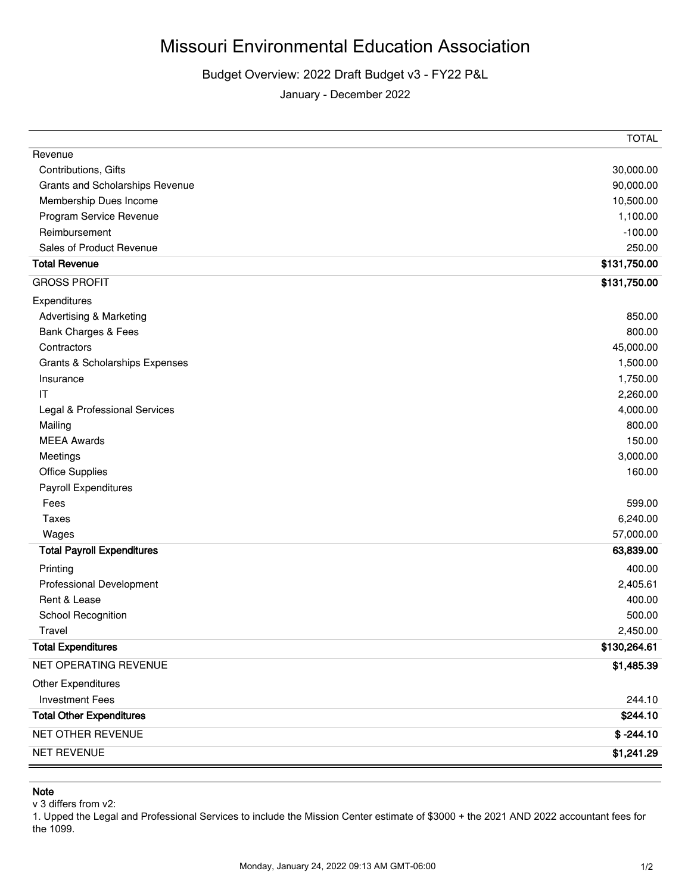## Missouri Environmental Education Association

## Budget Overview: 2022 Draft Budget v3 - FY22 P&L

January - December 2022

| NET REVENUE                              | \$1,241.29            |
|------------------------------------------|-----------------------|
| NET OTHER REVENUE                        | $$ -244.10$           |
| <b>Total Other Expenditures</b>          | \$244.10              |
| <b>Investment Fees</b>                   | 244.10                |
| <b>Other Expenditures</b>                |                       |
| NET OPERATING REVENUE                    | \$1,485.39            |
| <b>Total Expenditures</b>                | \$130,264.61          |
| Travel                                   | 2,450.00              |
| School Recognition                       | 500.00                |
| Rent & Lease                             | 400.00                |
| Professional Development                 | 2,405.61              |
| Printing                                 | 400.00                |
| <b>Total Payroll Expenditures</b>        | 63,839.00             |
| Wages                                    | 57,000.00             |
| <b>Taxes</b>                             | 6,240.00              |
| Fees                                     | 599.00                |
| Payroll Expenditures                     |                       |
| <b>Office Supplies</b>                   | 160.00                |
| Meetings                                 | 3,000.00              |
| <b>MEEA Awards</b>                       | 150.00                |
| Mailing                                  | 800.00                |
| Legal & Professional Services            | 4,000.00              |
| IT                                       | 2,260.00              |
| Insurance                                | 1,750.00              |
| Grants & Scholarships Expenses           | 1,500.00              |
| Contractors                              | 45,000.00             |
| Bank Charges & Fees                      | 800.00                |
| <b>Advertising &amp; Marketing</b>       | 850.00                |
| Expenditures                             |                       |
| <b>GROSS PROFIT</b>                      | \$131,750.00          |
| <b>Total Revenue</b>                     | \$131,750.00          |
| Sales of Product Revenue                 | 250.00                |
| Program Service Revenue<br>Reimbursement | $-100.00$             |
| Membership Dues Income                   | 10,500.00<br>1,100.00 |
| Grants and Scholarships Revenue          | 90,000.00             |
| Contributions, Gifts                     | 30,000.00             |
| Revenue                                  |                       |
|                                          | <b>TOTAL</b>          |

## **Note**

v 3 differs from v2:

1. Upped the Legal and Professional Services to include the Mission Center estimate of \$3000 + the 2021 AND 2022 accountant fees for the 1099.